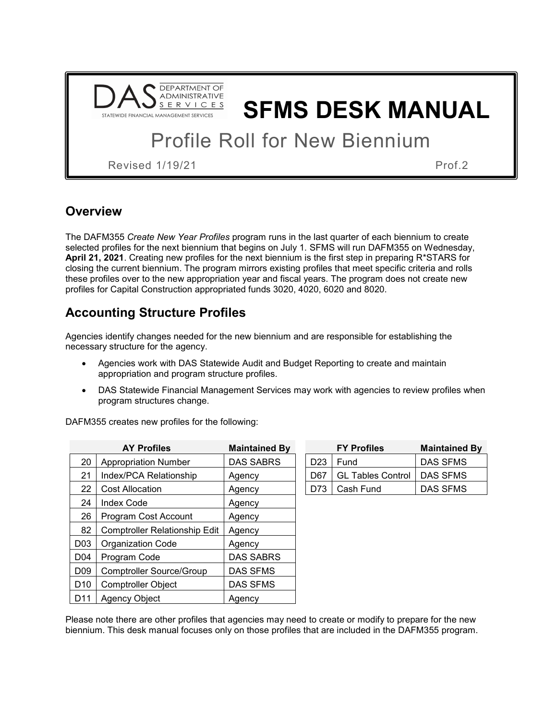

# **SFMS DESK MANUAL**

## Profile Roll for New Biennium

Revised 1/19/21 Prof.2

## **Overview**

The DAFM355 *Create New Year Profiles* program runs in the last quarter of each biennium to create selected profiles for the next biennium that begins on July 1. SFMS will run DAFM355 on Wednesday, **April 21, 2021**. Creating new profiles for the next biennium is the first step in preparing R\*STARS for closing the current biennium. The program mirrors existing profiles that meet specific criteria and rolls these profiles over to the new appropriation year and fiscal years. The program does not create new profiles for Capital Construction appropriated funds 3020, 4020, 6020 and 8020.

## **Accounting Structure Profiles**

Agencies identify changes needed for the new biennium and are responsible for establishing the necessary structure for the agency.

- Agencies work with DAS Statewide Audit and Budget Reporting to create and maintain appropriation and program structure profiles.
- DAS Statewide Financial Management Services may work with agencies to review profiles when program structures change.

DAFM355 creates new profiles for the following:

| <b>AY Profiles</b> |                                      | <b>Maintained By</b> |                 | <b>FY Profiles</b>       | <b>Maintained</b> |
|--------------------|--------------------------------------|----------------------|-----------------|--------------------------|-------------------|
| 20                 | <b>Appropriation Number</b>          | DAS SABRS            | D <sub>23</sub> | Fund                     | <b>DAS SFMS</b>   |
| 21                 | Index/PCA Relationship               | Agency               | D67             | <b>GL Tables Control</b> | <b>DAS SFMS</b>   |
| 22                 | <b>Cost Allocation</b>               | Agency               | D73             | Cash Fund                | <b>DAS SFMS</b>   |
| 24                 | <b>Index Code</b>                    | Agency               |                 |                          |                   |
| 26                 | Program Cost Account                 | Agency               |                 |                          |                   |
| 82                 | <b>Comptroller Relationship Edit</b> | Agency               |                 |                          |                   |
| D <sub>03</sub>    | Organization Code                    | Agency               |                 |                          |                   |
| D04                | Program Code                         | DAS SABRS            |                 |                          |                   |
| D <sub>09</sub>    | <b>Comptroller Source/Group</b>      | DAS SFMS             |                 |                          |                   |
| D <sub>10</sub>    | <b>Comptroller Object</b>            | DAS SFMS             |                 |                          |                   |
| D <sub>11</sub>    | <b>Agency Object</b>                 | Agency               |                 |                          |                   |

| AY Profiles       | <b>Maintained By</b> |     | <b>FY Profiles</b>       | <b>Maintained By</b> |  |
|-------------------|----------------------|-----|--------------------------|----------------------|--|
| ppriation Number  | DAS SABRS            | D23 | Fund                     | DAS SFMS             |  |
| /PCA Relationship | Agency               | D67 | <b>GL Tables Control</b> | DAS SFMS             |  |
| Allocation        | Agency               |     | D73   Cash Fund          | DAS SFMS             |  |

Please note there are other profiles that agencies may need to create or modify to prepare for the new biennium. This desk manual focuses only on those profiles that are included in the DAFM355 program.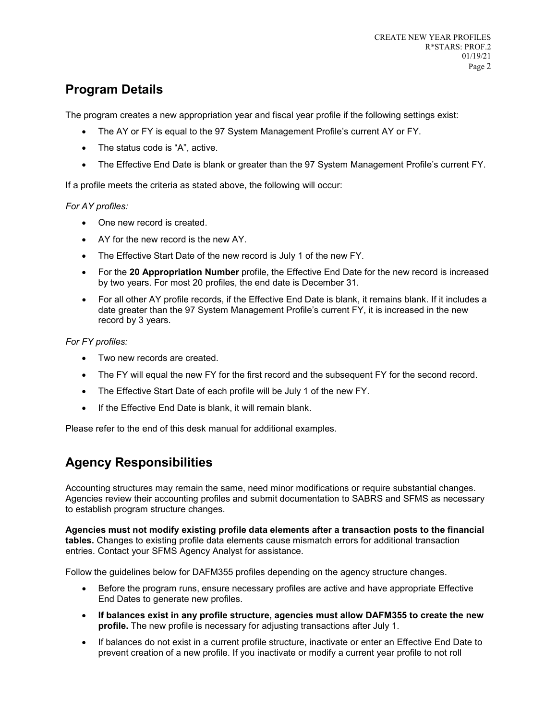## **Program Details**

The program creates a new appropriation year and fiscal year profile if the following settings exist:

- The AY or FY is equal to the 97 System Management Profile's current AY or FY.
- The status code is "A", active.
- The Effective End Date is blank or greater than the 97 System Management Profile's current FY.

If a profile meets the criteria as stated above, the following will occur:

#### *For AY profiles:*

- One new record is created.
- AY for the new record is the new AY.
- The Effective Start Date of the new record is July 1 of the new FY.
- For the **20 Appropriation Number** profile, the Effective End Date for the new record is increased by two years. For most 20 profiles, the end date is December 31.
- For all other AY profile records, if the Effective End Date is blank, it remains blank. If it includes a date greater than the 97 System Management Profile's current FY, it is increased in the new record by 3 years.

#### *For FY profiles:*

- Two new records are created.
- The FY will equal the new FY for the first record and the subsequent FY for the second record.
- The Effective Start Date of each profile will be July 1 of the new FY.
- If the Effective End Date is blank, it will remain blank.

Please refer to the end of this desk manual for additional examples.

## **Agency Responsibilities**

Accounting structures may remain the same, need minor modifications or require substantial changes. Agencies review their accounting profiles and submit documentation to SABRS and SFMS as necessary to establish program structure changes.

**Agencies must not modify existing profile data elements after a transaction posts to the financial tables.** Changes to existing profile data elements cause mismatch errors for additional transaction entries. Contact your SFMS Agency Analyst for assistance.

Follow the guidelines below for DAFM355 profiles depending on the agency structure changes.

- Before the program runs, ensure necessary profiles are active and have appropriate Effective End Dates to generate new profiles.
- **If balances exist in any profile structure, agencies must allow DAFM355 to create the new profile.** The new profile is necessary for adjusting transactions after July 1.
- If balances do not exist in a current profile structure, inactivate or enter an Effective End Date to prevent creation of a new profile. If you inactivate or modify a current year profile to not roll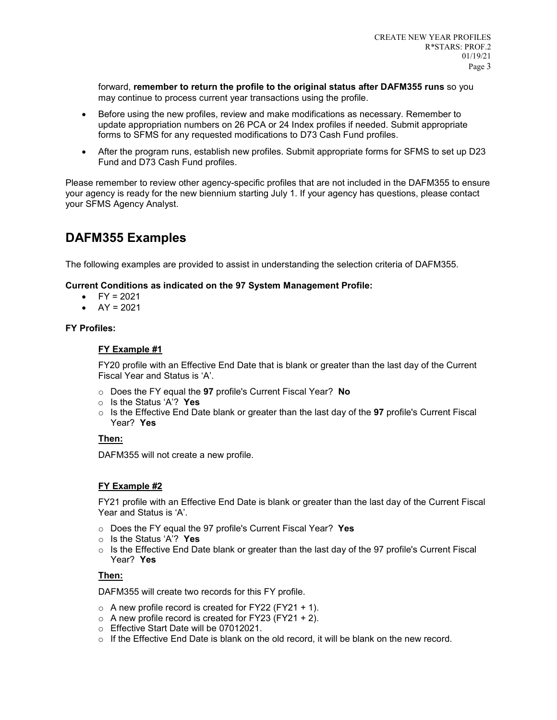forward, **remember to return the profile to the original status after DAFM355 runs** so you may continue to process current year transactions using the profile.

- Before using the new profiles, review and make modifications as necessary. Remember to update appropriation numbers on 26 PCA or 24 Index profiles if needed. Submit appropriate forms to SFMS for any requested modifications to D73 Cash Fund profiles.
- After the program runs, establish new profiles. Submit appropriate forms for SFMS to set up D23 Fund and D73 Cash Fund profiles.

Please remember to review other agency-specific profiles that are not included in the DAFM355 to ensure your agency is ready for the new biennium starting July 1. If your agency has questions, please contact your SFMS Agency Analyst.

### **DAFM355 Examples**

The following examples are provided to assist in understanding the selection criteria of DAFM355.

#### **Current Conditions as indicated on the 97 System Management Profile:**

- $FY = 2021$ 
	- $AY = 2021$

#### **FY Profiles:**

#### **FY Example #1**

FY20 profile with an Effective End Date that is blank or greater than the last day of the Current Fiscal Year and Status is 'A'.

- o Does the FY equal the **97** profile's Current Fiscal Year? **No**
- o Is the Status 'A'? **Yes**
- o Is the Effective End Date blank or greater than the last day of the **97** profile's Current Fiscal Year? **Yes**

#### **Then:**

DAFM355 will not create a new profile.

#### **FY Example #2**

FY21 profile with an Effective End Date is blank or greater than the last day of the Current Fiscal Year and Status is 'A'.

- o Does the FY equal the 97 profile's Current Fiscal Year? **Yes**
- o Is the Status 'A'? **Yes**
- $\circ$  Is the Effective End Date blank or greater than the last day of the 97 profile's Current Fiscal Year? **Yes**

#### **Then:**

DAFM355 will create two records for this FY profile.

- $\circ$  A new profile record is created for FY22 (FY21 + 1).
- $\circ$  A new profile record is created for FY23 (FY21 + 2).
- o Effective Start Date will be 07012021.
- $\circ$  If the Effective End Date is blank on the old record, it will be blank on the new record.